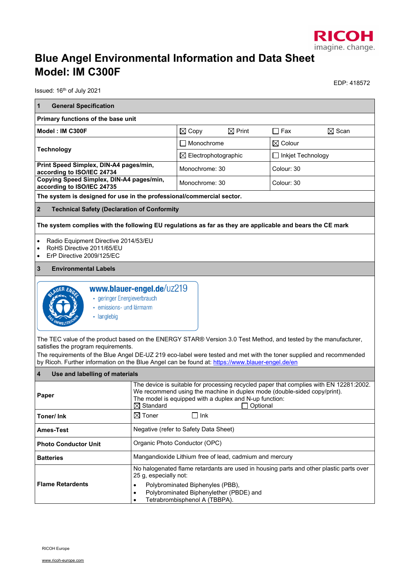

## **Blue Angel Environmental Information and Data Sheet Model: IM C300F**

Issued: 16<sup>th</sup> of July 2021

EDP: 418572

| $\mathbf{1}$<br><b>General Specification</b><br>Primary functions of the base unit<br>Model: IM C300F<br>$\boxtimes$ Print<br>$\Box$ Fax<br>$\boxtimes$ Scan<br>$\boxtimes$ Copy<br>$\boxtimes$ Colour<br>Monochrome<br><b>Technology</b><br>$\boxtimes$ Electrophotographic<br>_ Inkjet Technology<br>Print Speed Simplex, DIN-A4 pages/min,<br>Monochrome: 30<br>Colour: 30<br>according to ISO/IEC 24734<br>Copying Speed Simplex, DIN-A4 pages/min,<br>Monochrome: 30<br>Colour: 30<br>according to ISO/IEC 24735<br>The system is designed for use in the professional/commercial sector.<br>$\overline{2}$<br><b>Technical Safety (Declaration of Conformity</b><br>The system complies with the following EU regulations as far as they are applicable and bears the CE mark<br>Radio Equipment Directive 2014/53/EU<br>RoHS Directive 2011/65/EU<br>ErP Directive 2009/125/EC<br>$\bullet$<br>$\mathbf{3}$<br><b>Environmental Labels</b><br>www.blauer-engel.de/uz219<br>• geringer Energieverbrauch<br>• emissions- und lärmarm<br>• langlebig<br>The TEC value of the product based on the ENERGY STAR® Version 3.0 Test Method, and tested by the manufacturer,<br>satisfies the program requirements.<br>The requirements of the Blue Angel DE-UZ 219 eco-label were tested and met with the toner supplied and recommended<br>by Ricoh. Further information on the Blue Angel can be found at: https://www.blauer-engel.de/en<br>$\overline{\mathbf{4}}$<br>Use and labelling of materials<br>The device is suitable for processing recycled paper that complies with EN 12281:2002.<br>We recommend using the machine in duplex mode (double-sided copy/print).<br>Paper<br>The model is equipped with a duplex and N-up function:<br>$\boxtimes$ Standard<br>□ Optional<br>$\boxtimes$ Toner<br>$\Box$ lnk<br>Toner/ Ink<br>Negative (refer to Safety Data Sheet)<br><b>Ames-Test</b><br>Organic Photo Conductor (OPC)<br><b>Photo Conductor Unit</b><br>Mangandioxide Lithium free of lead, cadmium and mercury<br>Batteries<br>No halogenated flame retardants are used in housing parts and other plastic parts over<br>25 g, especially not:<br><b>Flame Retardents</b><br>Polybrominated Biphenyles (PBB),<br>Polybrominated Biphenylether (PBDE) and<br>Tetrabrombisphenol A (TBBPA).<br>٠ |  |  |  |  |  |  |  |
|------------------------------------------------------------------------------------------------------------------------------------------------------------------------------------------------------------------------------------------------------------------------------------------------------------------------------------------------------------------------------------------------------------------------------------------------------------------------------------------------------------------------------------------------------------------------------------------------------------------------------------------------------------------------------------------------------------------------------------------------------------------------------------------------------------------------------------------------------------------------------------------------------------------------------------------------------------------------------------------------------------------------------------------------------------------------------------------------------------------------------------------------------------------------------------------------------------------------------------------------------------------------------------------------------------------------------------------------------------------------------------------------------------------------------------------------------------------------------------------------------------------------------------------------------------------------------------------------------------------------------------------------------------------------------------------------------------------------------------------------------------------------------------------------------------------------------------------------------------------------------------------------------------------------------------------------------------------------------------------------------------------------------------------------------------------------------------------------------------------------------------------------------------------------------------------------------------------------------------------------------------------------------------------------------------------|--|--|--|--|--|--|--|
|                                                                                                                                                                                                                                                                                                                                                                                                                                                                                                                                                                                                                                                                                                                                                                                                                                                                                                                                                                                                                                                                                                                                                                                                                                                                                                                                                                                                                                                                                                                                                                                                                                                                                                                                                                                                                                                                                                                                                                                                                                                                                                                                                                                                                                                                                                                  |  |  |  |  |  |  |  |
|                                                                                                                                                                                                                                                                                                                                                                                                                                                                                                                                                                                                                                                                                                                                                                                                                                                                                                                                                                                                                                                                                                                                                                                                                                                                                                                                                                                                                                                                                                                                                                                                                                                                                                                                                                                                                                                                                                                                                                                                                                                                                                                                                                                                                                                                                                                  |  |  |  |  |  |  |  |
|                                                                                                                                                                                                                                                                                                                                                                                                                                                                                                                                                                                                                                                                                                                                                                                                                                                                                                                                                                                                                                                                                                                                                                                                                                                                                                                                                                                                                                                                                                                                                                                                                                                                                                                                                                                                                                                                                                                                                                                                                                                                                                                                                                                                                                                                                                                  |  |  |  |  |  |  |  |
|                                                                                                                                                                                                                                                                                                                                                                                                                                                                                                                                                                                                                                                                                                                                                                                                                                                                                                                                                                                                                                                                                                                                                                                                                                                                                                                                                                                                                                                                                                                                                                                                                                                                                                                                                                                                                                                                                                                                                                                                                                                                                                                                                                                                                                                                                                                  |  |  |  |  |  |  |  |
|                                                                                                                                                                                                                                                                                                                                                                                                                                                                                                                                                                                                                                                                                                                                                                                                                                                                                                                                                                                                                                                                                                                                                                                                                                                                                                                                                                                                                                                                                                                                                                                                                                                                                                                                                                                                                                                                                                                                                                                                                                                                                                                                                                                                                                                                                                                  |  |  |  |  |  |  |  |
|                                                                                                                                                                                                                                                                                                                                                                                                                                                                                                                                                                                                                                                                                                                                                                                                                                                                                                                                                                                                                                                                                                                                                                                                                                                                                                                                                                                                                                                                                                                                                                                                                                                                                                                                                                                                                                                                                                                                                                                                                                                                                                                                                                                                                                                                                                                  |  |  |  |  |  |  |  |
|                                                                                                                                                                                                                                                                                                                                                                                                                                                                                                                                                                                                                                                                                                                                                                                                                                                                                                                                                                                                                                                                                                                                                                                                                                                                                                                                                                                                                                                                                                                                                                                                                                                                                                                                                                                                                                                                                                                                                                                                                                                                                                                                                                                                                                                                                                                  |  |  |  |  |  |  |  |
|                                                                                                                                                                                                                                                                                                                                                                                                                                                                                                                                                                                                                                                                                                                                                                                                                                                                                                                                                                                                                                                                                                                                                                                                                                                                                                                                                                                                                                                                                                                                                                                                                                                                                                                                                                                                                                                                                                                                                                                                                                                                                                                                                                                                                                                                                                                  |  |  |  |  |  |  |  |
|                                                                                                                                                                                                                                                                                                                                                                                                                                                                                                                                                                                                                                                                                                                                                                                                                                                                                                                                                                                                                                                                                                                                                                                                                                                                                                                                                                                                                                                                                                                                                                                                                                                                                                                                                                                                                                                                                                                                                                                                                                                                                                                                                                                                                                                                                                                  |  |  |  |  |  |  |  |
|                                                                                                                                                                                                                                                                                                                                                                                                                                                                                                                                                                                                                                                                                                                                                                                                                                                                                                                                                                                                                                                                                                                                                                                                                                                                                                                                                                                                                                                                                                                                                                                                                                                                                                                                                                                                                                                                                                                                                                                                                                                                                                                                                                                                                                                                                                                  |  |  |  |  |  |  |  |
|                                                                                                                                                                                                                                                                                                                                                                                                                                                                                                                                                                                                                                                                                                                                                                                                                                                                                                                                                                                                                                                                                                                                                                                                                                                                                                                                                                                                                                                                                                                                                                                                                                                                                                                                                                                                                                                                                                                                                                                                                                                                                                                                                                                                                                                                                                                  |  |  |  |  |  |  |  |
|                                                                                                                                                                                                                                                                                                                                                                                                                                                                                                                                                                                                                                                                                                                                                                                                                                                                                                                                                                                                                                                                                                                                                                                                                                                                                                                                                                                                                                                                                                                                                                                                                                                                                                                                                                                                                                                                                                                                                                                                                                                                                                                                                                                                                                                                                                                  |  |  |  |  |  |  |  |
|                                                                                                                                                                                                                                                                                                                                                                                                                                                                                                                                                                                                                                                                                                                                                                                                                                                                                                                                                                                                                                                                                                                                                                                                                                                                                                                                                                                                                                                                                                                                                                                                                                                                                                                                                                                                                                                                                                                                                                                                                                                                                                                                                                                                                                                                                                                  |  |  |  |  |  |  |  |
|                                                                                                                                                                                                                                                                                                                                                                                                                                                                                                                                                                                                                                                                                                                                                                                                                                                                                                                                                                                                                                                                                                                                                                                                                                                                                                                                                                                                                                                                                                                                                                                                                                                                                                                                                                                                                                                                                                                                                                                                                                                                                                                                                                                                                                                                                                                  |  |  |  |  |  |  |  |
|                                                                                                                                                                                                                                                                                                                                                                                                                                                                                                                                                                                                                                                                                                                                                                                                                                                                                                                                                                                                                                                                                                                                                                                                                                                                                                                                                                                                                                                                                                                                                                                                                                                                                                                                                                                                                                                                                                                                                                                                                                                                                                                                                                                                                                                                                                                  |  |  |  |  |  |  |  |
|                                                                                                                                                                                                                                                                                                                                                                                                                                                                                                                                                                                                                                                                                                                                                                                                                                                                                                                                                                                                                                                                                                                                                                                                                                                                                                                                                                                                                                                                                                                                                                                                                                                                                                                                                                                                                                                                                                                                                                                                                                                                                                                                                                                                                                                                                                                  |  |  |  |  |  |  |  |
|                                                                                                                                                                                                                                                                                                                                                                                                                                                                                                                                                                                                                                                                                                                                                                                                                                                                                                                                                                                                                                                                                                                                                                                                                                                                                                                                                                                                                                                                                                                                                                                                                                                                                                                                                                                                                                                                                                                                                                                                                                                                                                                                                                                                                                                                                                                  |  |  |  |  |  |  |  |
|                                                                                                                                                                                                                                                                                                                                                                                                                                                                                                                                                                                                                                                                                                                                                                                                                                                                                                                                                                                                                                                                                                                                                                                                                                                                                                                                                                                                                                                                                                                                                                                                                                                                                                                                                                                                                                                                                                                                                                                                                                                                                                                                                                                                                                                                                                                  |  |  |  |  |  |  |  |
|                                                                                                                                                                                                                                                                                                                                                                                                                                                                                                                                                                                                                                                                                                                                                                                                                                                                                                                                                                                                                                                                                                                                                                                                                                                                                                                                                                                                                                                                                                                                                                                                                                                                                                                                                                                                                                                                                                                                                                                                                                                                                                                                                                                                                                                                                                                  |  |  |  |  |  |  |  |
|                                                                                                                                                                                                                                                                                                                                                                                                                                                                                                                                                                                                                                                                                                                                                                                                                                                                                                                                                                                                                                                                                                                                                                                                                                                                                                                                                                                                                                                                                                                                                                                                                                                                                                                                                                                                                                                                                                                                                                                                                                                                                                                                                                                                                                                                                                                  |  |  |  |  |  |  |  |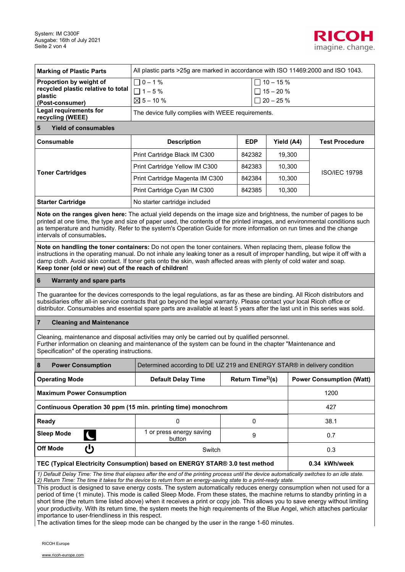

| <b>Marking of Plastic Parts</b>                                                                                                                                                                                                                                                                                                                                                                                                                                                                                                                                                                                                                                                                                                                                                                                                               | All plastic parts > 25g are marked in accordance with ISO 11469:2000 and ISO 1043.                              |                                                   |        |                                 |  |
|-----------------------------------------------------------------------------------------------------------------------------------------------------------------------------------------------------------------------------------------------------------------------------------------------------------------------------------------------------------------------------------------------------------------------------------------------------------------------------------------------------------------------------------------------------------------------------------------------------------------------------------------------------------------------------------------------------------------------------------------------------------------------------------------------------------------------------------------------|-----------------------------------------------------------------------------------------------------------------|---------------------------------------------------|--------|---------------------------------|--|
| Proportion by weight of<br>recycled plastic relative to total<br>plastic<br>(Post-consumer)                                                                                                                                                                                                                                                                                                                                                                                                                                                                                                                                                                                                                                                                                                                                                   | $\sqrt{0 - 1\%}$<br>$\Box$ 10 - 15 %<br>$\Box$ 1 – 5%<br>$\Box$ 15 - 20 %<br>$\boxtimes$ 5 – 10 %<br>$20 - 25%$ |                                                   |        |                                 |  |
| Legal requirements for<br>recycling (WEEE)                                                                                                                                                                                                                                                                                                                                                                                                                                                                                                                                                                                                                                                                                                                                                                                                    | The device fully complies with WEEE requirements.                                                               |                                                   |        |                                 |  |
| <b>Yield of consumables</b><br>5                                                                                                                                                                                                                                                                                                                                                                                                                                                                                                                                                                                                                                                                                                                                                                                                              |                                                                                                                 |                                                   |        |                                 |  |
| Consumable                                                                                                                                                                                                                                                                                                                                                                                                                                                                                                                                                                                                                                                                                                                                                                                                                                    | <b>Description</b>                                                                                              | Yield (A4)<br><b>EDP</b><br><b>Test Procedure</b> |        |                                 |  |
|                                                                                                                                                                                                                                                                                                                                                                                                                                                                                                                                                                                                                                                                                                                                                                                                                                               | Print Cartridge Black IM C300                                                                                   | 842382                                            | 19,300 |                                 |  |
|                                                                                                                                                                                                                                                                                                                                                                                                                                                                                                                                                                                                                                                                                                                                                                                                                                               | Print Cartridge Yellow IM C300                                                                                  | 842383                                            | 10,300 |                                 |  |
| <b>Toner Cartridges</b>                                                                                                                                                                                                                                                                                                                                                                                                                                                                                                                                                                                                                                                                                                                                                                                                                       | Print Cartridge Magenta IM C300                                                                                 | 842384                                            | 10,300 | <b>ISO/IEC 19798</b>            |  |
|                                                                                                                                                                                                                                                                                                                                                                                                                                                                                                                                                                                                                                                                                                                                                                                                                                               | Print Cartridge Cyan IM C300                                                                                    | 842385                                            | 10,300 |                                 |  |
| <b>Starter Cartridge</b>                                                                                                                                                                                                                                                                                                                                                                                                                                                                                                                                                                                                                                                                                                                                                                                                                      | No starter cartridge included                                                                                   |                                                   |        |                                 |  |
| Note on the ranges given here: The actual yield depends on the image size and brightness, the number of pages to be<br>printed at one time, the type and size of paper used, the contents of the printed images, and environmental conditions such<br>as temperature and humidity. Refer to the system's Operation Guide for more information on run times and the change<br>intervals of consumables.<br>Note on handling the toner containers: Do not open the toner containers. When replacing them, please follow the                                                                                                                                                                                                                                                                                                                     |                                                                                                                 |                                                   |        |                                 |  |
| instructions in the operating manual. Do not inhale any leaking toner as a result of improper handling, but wipe it off with a<br>damp cloth. Avoid skin contact. If toner gets onto the skin, wash affected areas with plenty of cold water and soap.<br>Keep toner (old or new) out of the reach of children!                                                                                                                                                                                                                                                                                                                                                                                                                                                                                                                               |                                                                                                                 |                                                   |        |                                 |  |
| 6<br><b>Warranty and spare parts</b>                                                                                                                                                                                                                                                                                                                                                                                                                                                                                                                                                                                                                                                                                                                                                                                                          |                                                                                                                 |                                                   |        |                                 |  |
| The guarantee for the devices corresponds to the legal regulations, as far as these are binding. All Ricoh distributors and<br>subsidiaries offer all-in service contracts that go beyond the legal warranty. Please contact your local Ricoh office or<br>distributor. Consumables and essential spare parts are available at least 5 years after the last unit in this series was sold.                                                                                                                                                                                                                                                                                                                                                                                                                                                     |                                                                                                                 |                                                   |        |                                 |  |
| <b>Cleaning and Maintenance</b><br>7                                                                                                                                                                                                                                                                                                                                                                                                                                                                                                                                                                                                                                                                                                                                                                                                          |                                                                                                                 |                                                   |        |                                 |  |
| Cleaning, maintenance and disposal activities may only be carried out by qualified personnel.<br>Further information on cleaning and maintenance of the system can be found in the chapter "Maintenance and<br>Specification" of the operating instructions.                                                                                                                                                                                                                                                                                                                                                                                                                                                                                                                                                                                  |                                                                                                                 |                                                   |        |                                 |  |
| 8<br><b>Power Consumption</b>                                                                                                                                                                                                                                                                                                                                                                                                                                                                                                                                                                                                                                                                                                                                                                                                                 | Determined according to DE UZ 219 and ENERGY STAR® in delivery condition                                        |                                                   |        |                                 |  |
| <b>Operating Mode</b>                                                                                                                                                                                                                                                                                                                                                                                                                                                                                                                                                                                                                                                                                                                                                                                                                         | Return Time <sup>2)</sup> (s)<br><b>Default Delay Time</b>                                                      |                                                   |        | <b>Power Consumption (Watt)</b> |  |
| 1200<br><b>Maximum Power Consumption</b>                                                                                                                                                                                                                                                                                                                                                                                                                                                                                                                                                                                                                                                                                                                                                                                                      |                                                                                                                 |                                                   |        |                                 |  |
| Continuous Operation 30 ppm (15 min. printing time) monochrom                                                                                                                                                                                                                                                                                                                                                                                                                                                                                                                                                                                                                                                                                                                                                                                 |                                                                                                                 |                                                   |        | 427                             |  |
| Ready                                                                                                                                                                                                                                                                                                                                                                                                                                                                                                                                                                                                                                                                                                                                                                                                                                         | 0                                                                                                               | 0                                                 |        | 38.1                            |  |
| <b>Sleep Mode</b>                                                                                                                                                                                                                                                                                                                                                                                                                                                                                                                                                                                                                                                                                                                                                                                                                             | 1 or press energy saving<br>button                                                                              | 9                                                 |        | 0.7                             |  |
| <b>Off Mode</b><br>じ                                                                                                                                                                                                                                                                                                                                                                                                                                                                                                                                                                                                                                                                                                                                                                                                                          | Switch<br>0.3                                                                                                   |                                                   |        |                                 |  |
| 0.34 kWh/week<br>TEC (Typical Electricity Consumption) based on ENERGY STAR® 3.0 test method                                                                                                                                                                                                                                                                                                                                                                                                                                                                                                                                                                                                                                                                                                                                                  |                                                                                                                 |                                                   |        |                                 |  |
| 1) Default Delay Time: The time that elapses after the end of the printing process until the device automatically switches to an idle state.<br>2) Return Time: The time it takes for the device to return from an energy-saving state to a print-ready state.<br>This product is designed to save energy costs. The system automatically reduces energy consumption when not used for a<br>period of time (1 minute). This mode is called Sleep Mode. From these states, the machine returns to standby printing in a<br>short time (the return time listed above) when it receives a print or copy job. This allows you to save energy without limiting<br>your productivity. With its return time, the system meets the high requirements of the Blue Angel, which attaches particular<br>importance to user-friendliness in this respect. |                                                                                                                 |                                                   |        |                                 |  |

The activation times for the sleep mode can be changed by the user in the range 1-60 minutes.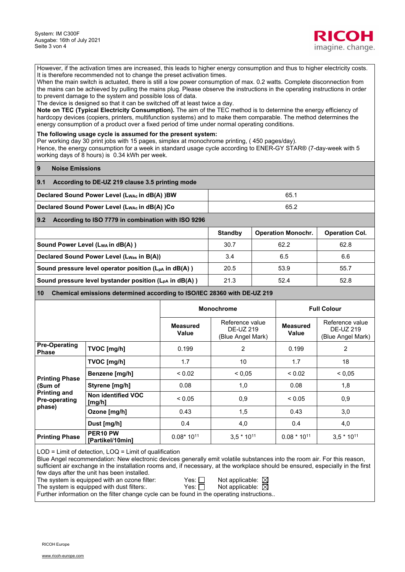

However, if the activation times are increased, this leads to higher energy consumption and thus to higher electricity costs. It is therefore recommended not to change the preset activation times.

When the main switch is actuated, there is still a low power consumption of max. 0.2 watts. Complete disconnection from the mains can be achieved by pulling the mains plug. Please observe the instructions in the operating instructions in order to prevent damage to the system and possible loss of data.

The device is designed so that it can be switched off at least twice a day.

**Note on TEC (Typical Electricity Consumption).** The aim of the TEC method is to determine the energy efficiency of hardcopy devices (copiers, printers, multifunction systems) and to make them comparable. The method determines the energy consumption of a product over a fixed period of time under normal operating conditions.

**The following usage cycle is assumed for the present system:** 

Per working day 30 print jobs with 15 pages, simplex at monochrome printing, ( 450 pages/day).

Hence, the energy consumption for a week in standard usage cycle according to ENER-GY STAR® (7-day-week with 5 working days of 8 hours) is 0.34 kWh per week.

| <b>9</b><br><b>Noise Emissions</b>                                |                |                           |                       |  |
|-------------------------------------------------------------------|----------------|---------------------------|-----------------------|--|
| 9.1<br>According to DE-UZ 219 clause 3.5 printing mode            |                |                           |                       |  |
| Declared Sound Power Level (L <sub>WAc</sub> in dB(A) )BW<br>65.1 |                |                           |                       |  |
| Declared Sound Power Level (LwAc in dB(A) )Co<br>65.2             |                |                           |                       |  |
| 9.2<br>According to ISO 7779 in combination with ISO 9296         |                |                           |                       |  |
|                                                                   | <b>Standby</b> | <b>Operation Monochr.</b> | <b>Operation Col.</b> |  |
| Sound Power Level (LwA in dB(A))                                  | 30.7           | 62.2                      | 62.8                  |  |
| Declared Sound Power Level (L <sub>Was</sub> in B(A))             | 3.4            | 6.5                       | 6.6                   |  |

**Sound pressure level operator position (L<sub>pA</sub> in dB(A) )**  $\qquad$  **20.5 | 53.9 55.7 55.7 | 55.7 | 55.7 | 55.7 | 55.7 | 55.7 | 55.7 | 55.7 | 55.7 | 55.7 | 55.7 | 55.7 | 55.7 | 55.7 | 55.7 | 55.7 | 55.7 | 55.7 | 55.7 | 55.7 | 5 Sound pressure level bystander position (L<sub>pA</sub> in dB(A) )**  $\vert$  **21.3**  $\vert$  **52.4 52.8 52.8** 

**10 Chemical emissions determined according to ISO/IEC 28360 with DE-UZ 219** 

|                                             |                                          | <b>Monochrome</b>        |                                                   | <b>Full Colour</b>       |                                                   |
|---------------------------------------------|------------------------------------------|--------------------------|---------------------------------------------------|--------------------------|---------------------------------------------------|
|                                             |                                          | <b>Measured</b><br>Value | Reference value<br>DE-UZ 219<br>(Blue Angel Mark) | <b>Measured</b><br>Value | Reference value<br>DE-UZ 219<br>(Blue Angel Mark) |
| <b>Pre-Operating</b><br><b>Phase</b>        | TVOC [mg/h]                              | 0.199                    | 2                                                 | 0.199                    | 2                                                 |
| <b>Printing Phase</b>                       | TVOC [mg/h]                              | 1.7                      | 10                                                | 1.7                      | 18                                                |
|                                             | Benzene [mg/h]                           | ${}_{0.02}$              | ${}_{0.05}$                                       | ${}_{0.02}$              | ${}_{0.05}$                                       |
| (Sum of                                     | Styrene [mg/h]                           | 0.08                     | 1,0                                               | 0.08                     | 1,8                                               |
| <b>Printing and</b><br><b>Pre-operating</b> | Non identified VOC<br>[mg/h]             | < 0.05                   | 0,9                                               | ${}_{0.05}$              | 0,9                                               |
| phase)                                      | Ozone [mg/h]                             | 0.43                     | 1,5                                               | 0.43                     | 3,0                                               |
|                                             | Dust [mg/h]                              | 0.4                      | 4,0                                               | 0.4                      | 4,0                                               |
| <b>Printing Phase</b>                       | PER <sub>10</sub> PW<br>[Partikel/10min] | $0.08*10^{11}$           | $3.5 * 1011$                                      | $0.08 * 10^{11}$         | $3,5*10^{11}$                                     |

LOD = Limit of detection, LOQ = Limit of qualification

Blue Angel recommendation: New electronic devices generally emit volatile substances into the room air. For this reason, sufficient air exchange in the installation rooms and, if necessary, at the workplace should be ensured, especially in the first few days after the unit has been installed.

The system is equipped with an ozone filter:  $\blacksquare$  Yes:  $\square$  Not applicable:  $\boxtimes$ <br>The system is equipped with dust filters:  $\blacksquare$  Yes:  $\square$  Not applicable:  $\boxtimes$ 

The system is equipped with dust filters:. Further information on the filter change cycle can be found in the operating instructions..